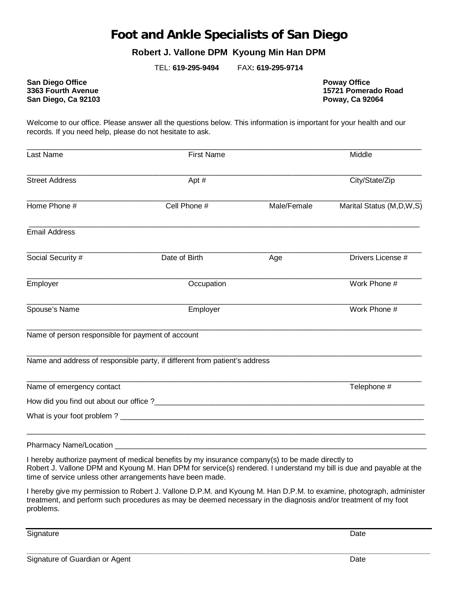## **Foot and Ankle Specialists of San Diego**

## **Robert J. Vallone DPM Kyoung Min Han DPM**

TEL: **619-295-9494** FAX**: 619-295-9714**

**San Diego Office Poway Office Poway Office Poway Office Poway Office Poway Office**<br> **S363 Fourth Avenue San Diego, Ca 92103** 

**15721 Pomerado Road<br>Poway, Ca 92064** 

Welcome to our office. Please answer all the questions below. This information is important for your health and our records. If you need help, please do not hesitate to ask.

| Last Name                                         | <b>First Name</b>                                                                                                                                                                                                                                                                    |             | Middle                      |
|---------------------------------------------------|--------------------------------------------------------------------------------------------------------------------------------------------------------------------------------------------------------------------------------------------------------------------------------------|-------------|-----------------------------|
| <b>Street Address</b>                             | Apt #                                                                                                                                                                                                                                                                                |             | City/State/Zip              |
| Home Phone #                                      | Cell Phone #                                                                                                                                                                                                                                                                         | Male/Female | Marital Status (M, D, W, S) |
| <b>Email Address</b>                              |                                                                                                                                                                                                                                                                                      |             |                             |
| Social Security #                                 | Date of Birth                                                                                                                                                                                                                                                                        | Age         | Drivers License #           |
| Employer                                          | Occupation                                                                                                                                                                                                                                                                           |             | Work Phone #                |
| Spouse's Name                                     | Employer                                                                                                                                                                                                                                                                             |             | Work Phone #                |
| Name of person responsible for payment of account |                                                                                                                                                                                                                                                                                      |             |                             |
|                                                   | Name and address of responsible party, if different from patient's address                                                                                                                                                                                                           |             |                             |
| Name of emergency contact                         |                                                                                                                                                                                                                                                                                      |             | Telephone #                 |
|                                                   |                                                                                                                                                                                                                                                                                      |             |                             |
|                                                   |                                                                                                                                                                                                                                                                                      |             |                             |
|                                                   |                                                                                                                                                                                                                                                                                      |             |                             |
|                                                   | I hereby authorize payment of medical benefits by my insurance company(s) to be made directly to<br>Robert J. Vallone DPM and Kyoung M. Han DPM for service(s) rendered. I understand my bill is due and payable at the<br>time of service unless other arrangements have been made. |             |                             |
| problems.                                         | I hereby give my permission to Robert J. Vallone D.P.M. and Kyoung M. Han D.P.M. to examine, photograph, administer<br>treatment, and perform such procedures as may be deemed necessary in the diagnosis and/or treatment of my foot                                                |             |                             |
| Signature                                         |                                                                                                                                                                                                                                                                                      |             | Date                        |

**\_\_\_\_\_\_\_\_\_\_\_\_\_\_\_\_\_\_\_\_\_\_\_\_\_\_\_\_\_\_\_\_\_\_\_\_\_\_\_\_\_\_\_\_\_\_\_\_\_\_\_\_\_\_\_\_\_\_\_\_\_\_\_\_\_\_\_\_\_\_\_\_\_\_\_\_\_\_\_\_\_\_\_\_\_\_\_\_\_\_\_\_\_\_\_\_\_**

Signature of Guardian or Agent Date Date Date Date Date Date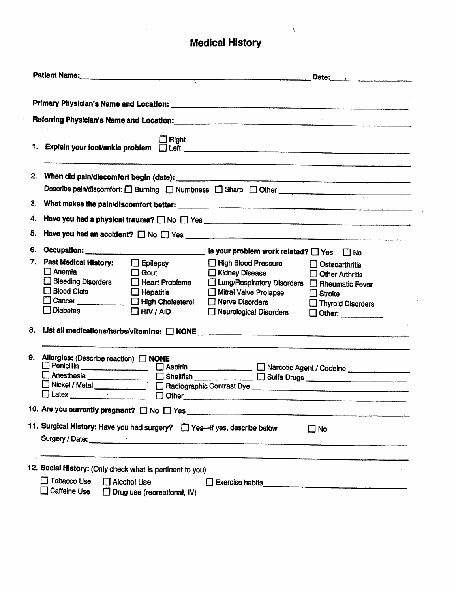## Medical History

 $\bar{\psi}$ 

|    |                                                                                                                                                                                                                                                          | Patlent Name: Date: Date:                                                                                                                                                                                                                                                    |  |  |  |  |  |  |  |  |
|----|----------------------------------------------------------------------------------------------------------------------------------------------------------------------------------------------------------------------------------------------------------|------------------------------------------------------------------------------------------------------------------------------------------------------------------------------------------------------------------------------------------------------------------------------|--|--|--|--|--|--|--|--|
|    |                                                                                                                                                                                                                                                          |                                                                                                                                                                                                                                                                              |  |  |  |  |  |  |  |  |
|    | Referring Physician's Name and Location:<br>Management Contract Contract Contract Contract Contract Contract Contract Contract Contract Contract Contract Contract Contract Contract Contract Contract Contract Contract Contrac                         |                                                                                                                                                                                                                                                                              |  |  |  |  |  |  |  |  |
|    | $\Box$ Right                                                                                                                                                                                                                                             |                                                                                                                                                                                                                                                                              |  |  |  |  |  |  |  |  |
|    | Describe pain/discomfort: [ Burning [ ] Numbness [ ] Sharp [ ] Other _______________________________                                                                                                                                                     |                                                                                                                                                                                                                                                                              |  |  |  |  |  |  |  |  |
|    |                                                                                                                                                                                                                                                          |                                                                                                                                                                                                                                                                              |  |  |  |  |  |  |  |  |
| 4. |                                                                                                                                                                                                                                                          |                                                                                                                                                                                                                                                                              |  |  |  |  |  |  |  |  |
| 5. |                                                                                                                                                                                                                                                          |                                                                                                                                                                                                                                                                              |  |  |  |  |  |  |  |  |
| 6. |                                                                                                                                                                                                                                                          | Occupation: _________________________________ is your problem work related? □ Yes □ No                                                                                                                                                                                       |  |  |  |  |  |  |  |  |
| 7. | Past Medical History:<br>$\Box$ Epilepsy<br>$\Box$ Anemia<br>$\Box$ Gout<br><b>Bleeding Disorders</b><br>$\Box$ Heart Problems<br><b>Blood Clots</b><br>$\Box$ Hepatitis<br>Cancer ____________ DHigh Cholesterol<br>$\Box$ Diabetes<br>$\Box$ HIV / AID | High Blood Pressure<br>$\Box$ Osteoarthritis<br>Kidney Disease<br><b>Other Arthritis</b><br>□ Lung/Respiratory Disorders □ Rheumatic Fever<br>Mitral Valve Prolapse<br>$\Box$ Stroke<br>Nerve Disorders<br>$\Box$ Thyroid Disorders<br>Neurological Disorders<br>□<br>Other: |  |  |  |  |  |  |  |  |
| 8. |                                                                                                                                                                                                                                                          |                                                                                                                                                                                                                                                                              |  |  |  |  |  |  |  |  |
| 9. | Allergies: (Describe reaction) NONE<br>Anesthesia ______________ ___ __ Shellfish ____________ __ __ __ Sulfa Drugs ______________________<br>Latex $\frac{1}{2}$<br>$\Box$ Other                                                                        |                                                                                                                                                                                                                                                                              |  |  |  |  |  |  |  |  |
|    |                                                                                                                                                                                                                                                          |                                                                                                                                                                                                                                                                              |  |  |  |  |  |  |  |  |
|    | 11. Surgical History: Have you had surgery? [ Yes-if yes, describe below<br>$\square$ No                                                                                                                                                                 |                                                                                                                                                                                                                                                                              |  |  |  |  |  |  |  |  |
|    | 12. Social History: (Only check what is pertinent to you)<br>$\Box$ Tobacco Use<br>$\Box$ Alcohol Use<br>] Caffeine Use<br>$\Box$ Drug use (recreational, IV)                                                                                            |                                                                                                                                                                                                                                                                              |  |  |  |  |  |  |  |  |